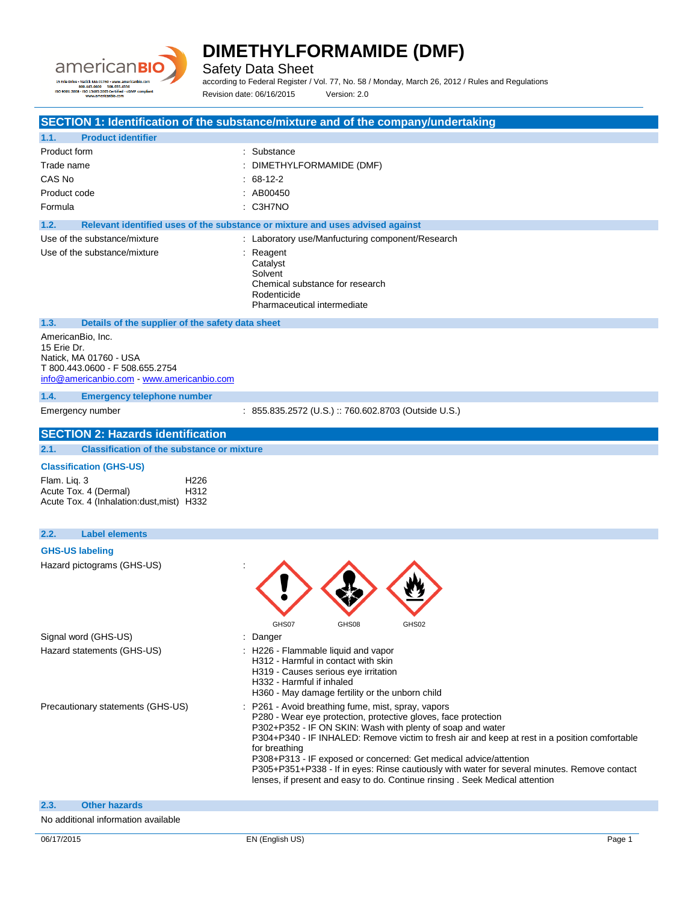

Safety Data Sheet

according to Federal Register / Vol. 77, No. 58 / Monday, March 26, 2012 / Rules and Regulations Revision date: 06/16/2015 Version: 2.0

**SECTION 1: Identification of the substance/mixture and of the company/undertaking 1.1. Product identifier** Product form : Substance Trade name  $\qquad \qquad : \quad \text{DIMETHYLFORMAMPLE}$  (DMF) CAS No : 68-12-2 Product code : AB00450 Formula : C3H7NO **1.2. Relevant identified uses of the substance or mixture and uses advised against** Use of the substance/mixture  $\qquad \qquad :$  Laboratory use/Manfucturing component/Research Use of the substance/mixture in the substance in the set of the substance in the set of the set of the set of the set of the set of the set of the set of the set of the set of the set of the set of the set of the set of th Catalyst **Solvent** Chemical substance for research Rodenticide Pharmaceutical intermediate **1.3. Details of the supplier of the safety data sheet** AmericanBio, Inc. 15 Erie Dr. Natick, MA 01760 - USA T 800.443.0600 - F 508.655.2754 [info@americanbio.com](mailto:info@americanbio.com) - <www.americanbio.com> **1.4. Emergency telephone number** Emergency number : 855.835.2572 (U.S.) :: 760.602.8703 (Outside U.S.) **SECTION 2: Hazards identification 2.1. Classification of the substance or mixture Classification (GHS-US)** Flam. Liq. 3 H226 Acute Tox. 4 (Dermal) H312 Acute Tox. 4 (Inhalation:dust,mist) H332 **2.2. Label elements GHS-US labeling** Hazard pictograms (GHS-US) : GHS07 GHS08 GHS02 Signal word (GHS-US) in the state of the Signal word (GHS-US) in the state of the Signal state of the Signal Signal Signal Signal Signal Signal Signal Signal Signal Signal Signal Signal Signal Signal Signal Signal Signal S Hazard statements (GHS-US) : H226 - Flammable liquid and vapor H312 - Harmful in contact with skin H319 - Causes serious eye irritation H332 - Harmful if inhaled H360 - May damage fertility or the unborn child Precautionary statements (GHS-US) : P261 - Avoid breathing fume, mist, spray, vapors P280 - Wear eye protection, protective gloves, face protection P302+P352 - IF ON SKIN: Wash with plenty of soap and water P304+P340 - IF INHALED: Remove victim to fresh air and keep at rest in a position comfortable for breathing P308+P313 - IF exposed or concerned: Get medical advice/attention P305+P351+P338 - If in eyes: Rinse cautiously with water for several minutes. Remove contact lenses, if present and easy to do. Continue rinsing . Seek Medical attention **2.3. Other hazards** No additional information available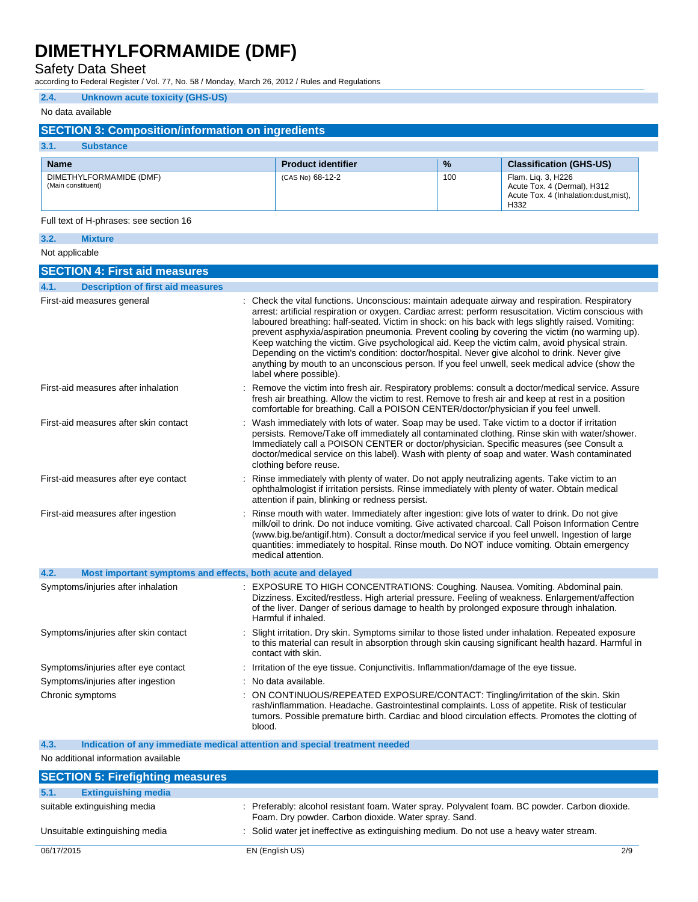Safety Data Sheet

according to Federal Register / Vol. 77, No. 58 / Monday, March 26, 2012 / Rules and Regulations

### **2.4. Unknown acute toxicity (GHS-US)**

### No data available

## **SECTION 3: Composition/information on ingredients**

| 3.1.<br>Substance                             |                           |               |                                                                                                     |
|-----------------------------------------------|---------------------------|---------------|-----------------------------------------------------------------------------------------------------|
| <b>Name</b>                                   | <b>Product identifier</b> | $\frac{9}{6}$ | <b>Classification (GHS-US)</b>                                                                      |
| DIMETHYLFORMAMIDE (DMF)<br>(Main constituent) | (CAS No) 68-12-2          | 100           | Flam. Lig. 3, H226<br>Acute Tox. 4 (Dermal), H312<br>Acute Tox. 4 (Inhalation: dust. mist).<br>H332 |

Full text of H-phrases: see section 16

## **3.2. Mixture**

Not applicable

| <b>SECTION 4: First aid measures</b>                                |                                                                                                                                                                                                                                                                                                                                                                                                                                                                                                                                                                                                                                                                                                                                               |
|---------------------------------------------------------------------|-----------------------------------------------------------------------------------------------------------------------------------------------------------------------------------------------------------------------------------------------------------------------------------------------------------------------------------------------------------------------------------------------------------------------------------------------------------------------------------------------------------------------------------------------------------------------------------------------------------------------------------------------------------------------------------------------------------------------------------------------|
| 4.1.<br><b>Description of first aid measures</b>                    |                                                                                                                                                                                                                                                                                                                                                                                                                                                                                                                                                                                                                                                                                                                                               |
| First-aid measures general                                          | Check the vital functions. Unconscious: maintain adequate airway and respiration. Respiratory<br>arrest: artificial respiration or oxygen. Cardiac arrest: perform resuscitation. Victim conscious with<br>laboured breathing: half-seated. Victim in shock: on his back with legs slightly raised. Vomiting:<br>prevent asphyxia/aspiration pneumonia. Prevent cooling by covering the victim (no warming up).<br>Keep watching the victim. Give psychological aid. Keep the victim calm, avoid physical strain.<br>Depending on the victim's condition: doctor/hospital. Never give alcohol to drink. Never give<br>anything by mouth to an unconscious person. If you feel unwell, seek medical advice (show the<br>label where possible). |
| First-aid measures after inhalation                                 | Remove the victim into fresh air. Respiratory problems: consult a doctor/medical service. Assure<br>fresh air breathing. Allow the victim to rest. Remove to fresh air and keep at rest in a position<br>comfortable for breathing. Call a POISON CENTER/doctor/physician if you feel unwell.                                                                                                                                                                                                                                                                                                                                                                                                                                                 |
| First-aid measures after skin contact                               | Wash immediately with lots of water. Soap may be used. Take victim to a doctor if irritation<br>persists. Remove/Take off immediately all contaminated clothing. Rinse skin with water/shower.<br>Immediately call a POISON CENTER or doctor/physician. Specific measures (see Consult a<br>doctor/medical service on this label). Wash with plenty of soap and water. Wash contaminated<br>clothing before reuse.                                                                                                                                                                                                                                                                                                                            |
| First-aid measures after eye contact                                | Rinse immediately with plenty of water. Do not apply neutralizing agents. Take victim to an<br>ophthalmologist if irritation persists. Rinse immediately with plenty of water. Obtain medical<br>attention if pain, blinking or redness persist.                                                                                                                                                                                                                                                                                                                                                                                                                                                                                              |
| First-aid measures after ingestion                                  | Rinse mouth with water. Immediately after ingestion: give lots of water to drink. Do not give<br>milk/oil to drink. Do not induce vomiting. Give activated charcoal. Call Poison Information Centre<br>(www.big.be/antigif.htm). Consult a doctor/medical service if you feel unwell. Ingestion of large<br>quantities: immediately to hospital. Rinse mouth. Do NOT induce vomiting. Obtain emergency<br>medical attention.                                                                                                                                                                                                                                                                                                                  |
| 4.2.<br>Most important symptoms and effects, both acute and delayed |                                                                                                                                                                                                                                                                                                                                                                                                                                                                                                                                                                                                                                                                                                                                               |
| Symptoms/injuries after inhalation                                  | EXPOSURE TO HIGH CONCENTRATIONS: Coughing. Nausea. Vomiting. Abdominal pain.<br>Dizziness. Excited/restless. High arterial pressure. Feeling of weakness. Enlargement/affection<br>of the liver. Danger of serious damage to health by prolonged exposure through inhalation.<br>Harmful if inhaled.                                                                                                                                                                                                                                                                                                                                                                                                                                          |
| Symptoms/injuries after skin contact                                | Slight irritation. Dry skin. Symptoms similar to those listed under inhalation. Repeated exposure<br>to this material can result in absorption through skin causing significant health hazard. Harmful in<br>contact with skin.                                                                                                                                                                                                                                                                                                                                                                                                                                                                                                               |
| Symptoms/injuries after eye contact                                 | : Irritation of the eye tissue. Conjunctivitis. Inflammation/damage of the eye tissue.                                                                                                                                                                                                                                                                                                                                                                                                                                                                                                                                                                                                                                                        |
| Symptoms/injuries after ingestion                                   | No data available.                                                                                                                                                                                                                                                                                                                                                                                                                                                                                                                                                                                                                                                                                                                            |
| Chronic symptoms                                                    | ON CONTINUOUS/REPEATED EXPOSURE/CONTACT: Tingling/irritation of the skin. Skin<br>rash/inflammation. Headache. Gastrointestinal complaints. Loss of appetite. Risk of testicular<br>tumors. Possible premature birth. Cardiac and blood circulation effects. Promotes the clotting of<br>blood.                                                                                                                                                                                                                                                                                                                                                                                                                                               |

**4.3. Indication of any immediate medical attention and special treatment needed**

No additional information available

|            | <b>SECTION 5: Firefighting measures</b> |                                                                                                                                                        |     |
|------------|-----------------------------------------|--------------------------------------------------------------------------------------------------------------------------------------------------------|-----|
| 5.1.       | <b>Extinguishing media</b>              |                                                                                                                                                        |     |
|            | suitable extinguishing media            | : Preferably: alcohol resistant foam. Water spray. Polyvalent foam. BC powder. Carbon dioxide.<br>Foam. Dry powder. Carbon dioxide. Water spray. Sand. |     |
|            | Unsuitable extinguishing media          | : Solid water jet ineffective as extinguishing medium. Do not use a heavy water stream.                                                                |     |
| 06/17/2015 |                                         | EN (English US)                                                                                                                                        | 2/9 |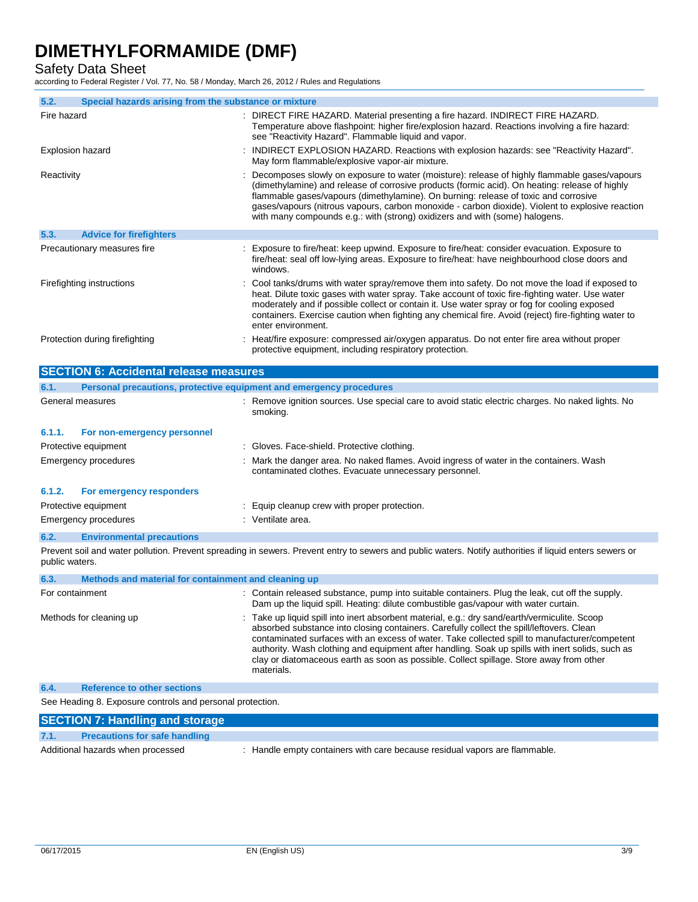Safety Data Sheet

according to Federal Register / Vol. 77, No. 58 / Monday, March 26, 2012 / Rules and Regulations

| 5.2.             | Special hazards arising from the substance or mixture               |                                                                                                                                                                                                                                                                                                                                                                                                                                                                          |
|------------------|---------------------------------------------------------------------|--------------------------------------------------------------------------------------------------------------------------------------------------------------------------------------------------------------------------------------------------------------------------------------------------------------------------------------------------------------------------------------------------------------------------------------------------------------------------|
| Fire hazard      |                                                                     | : DIRECT FIRE HAZARD. Material presenting a fire hazard. INDIRECT FIRE HAZARD.<br>Temperature above flashpoint: higher fire/explosion hazard. Reactions involving a fire hazard:<br>see "Reactivity Hazard". Flammable liquid and vapor.                                                                                                                                                                                                                                 |
| Explosion hazard |                                                                     | INDIRECT EXPLOSION HAZARD. Reactions with explosion hazards: see "Reactivity Hazard".<br>May form flammable/explosive vapor-air mixture.                                                                                                                                                                                                                                                                                                                                 |
| Reactivity       |                                                                     | Decomposes slowly on exposure to water (moisture): release of highly flammable gases/vapours<br>(dimethylamine) and release of corrosive products (formic acid). On heating: release of highly<br>flammable gases/vapours (dimethylamine). On burning: release of toxic and corrosive<br>gases/vapours (nitrous vapours, carbon monoxide - carbon dioxide). Violent to explosive reaction<br>with many compounds e.g.: with (strong) oxidizers and with (some) halogens. |
| 5.3.             | <b>Advice for firefighters</b>                                      |                                                                                                                                                                                                                                                                                                                                                                                                                                                                          |
|                  | Precautionary measures fire                                         | Exposure to fire/heat: keep upwind. Exposure to fire/heat: consider evacuation. Exposure to<br>fire/heat: seal off low-lying areas. Exposure to fire/heat: have neighbourhood close doors and<br>windows.                                                                                                                                                                                                                                                                |
|                  | Firefighting instructions                                           | Cool tanks/drums with water spray/remove them into safety. Do not move the load if exposed to<br>heat. Dilute toxic gases with water spray. Take account of toxic fire-fighting water. Use water<br>moderately and if possible collect or contain it. Use water spray or fog for cooling exposed<br>containers. Exercise caution when fighting any chemical fire. Avoid (reject) fire-fighting water to<br>enter environment.                                            |
|                  | Protection during firefighting                                      | Heat/fire exposure: compressed air/oxygen apparatus. Do not enter fire area without proper<br>protective equipment, including respiratory protection.                                                                                                                                                                                                                                                                                                                    |
|                  | <b>SECTION 6: Accidental release measures</b>                       |                                                                                                                                                                                                                                                                                                                                                                                                                                                                          |
| 6.1.             | Personal precautions, protective equipment and emergency procedures |                                                                                                                                                                                                                                                                                                                                                                                                                                                                          |
|                  | General measures                                                    | : Remove ignition sources. Use special care to avoid static electric charges. No naked lights. No<br>smoking.                                                                                                                                                                                                                                                                                                                                                            |
| 6.1.1.           | For non-emergency personnel                                         |                                                                                                                                                                                                                                                                                                                                                                                                                                                                          |
|                  | Protective equipment                                                | : Gloves. Face-shield. Protective clothing.                                                                                                                                                                                                                                                                                                                                                                                                                              |
|                  | Emergency procedures                                                | Mark the danger area. No naked flames. Avoid ingress of water in the containers. Wash<br>contaminated clothes. Evacuate unnecessary personnel.                                                                                                                                                                                                                                                                                                                           |
| 6.1.2.           | For emergency responders                                            |                                                                                                                                                                                                                                                                                                                                                                                                                                                                          |
|                  | Protective equipment                                                | Equip cleanup crew with proper protection.                                                                                                                                                                                                                                                                                                                                                                                                                               |
|                  | Emergency procedures                                                | : Ventilate area.                                                                                                                                                                                                                                                                                                                                                                                                                                                        |
| 6.2.             | <b>Environmental precautions</b>                                    |                                                                                                                                                                                                                                                                                                                                                                                                                                                                          |
|                  |                                                                     | Prevent soil and water pollution. Prevent spreading in sewers. Prevent entry to sewers and public waters. Notify authorities if liquid enters sewers or                                                                                                                                                                                                                                                                                                                  |

و in sewers. Prevent entry to sewers and public waters. Notify authorities if liquid enters sewers or public waters.

| Methods and material for containment and cleaning up<br>6.3. |                                                                                                                                                                                                                                                                                                                                                                                                                                                                                                         |
|--------------------------------------------------------------|---------------------------------------------------------------------------------------------------------------------------------------------------------------------------------------------------------------------------------------------------------------------------------------------------------------------------------------------------------------------------------------------------------------------------------------------------------------------------------------------------------|
| For containment                                              | : Contain released substance, pump into suitable containers. Plug the leak, cut off the supply.<br>Dam up the liquid spill. Heating: dilute combustible gas/vapour with water curtain.                                                                                                                                                                                                                                                                                                                  |
| Methods for cleaning up                                      | : Take up liquid spill into inert absorbent material, e.g.: dry sand/earth/vermiculite. Scoop<br>absorbed substance into closing containers. Carefully collect the spill/leftovers. Clean<br>contaminated surfaces with an excess of water. Take collected spill to manufacturer/competent<br>authority. Wash clothing and equipment after handling. Soak up spills with inert solids, such as<br>clay or diatomaceous earth as soon as possible. Collect spillage. Store away from other<br>materials. |
|                                                              |                                                                                                                                                                                                                                                                                                                                                                                                                                                                                                         |

#### **6.4. Reference to other sections**

See Heading 8. Exposure controls and personal protection.

| <b>SECTION 7: Handling and storage</b>       |                                                                            |
|----------------------------------------------|----------------------------------------------------------------------------|
| 7.1.<br><b>Precautions for safe handling</b> |                                                                            |
| Additional hazards when processed            | : Handle empty containers with care because residual vapors are flammable. |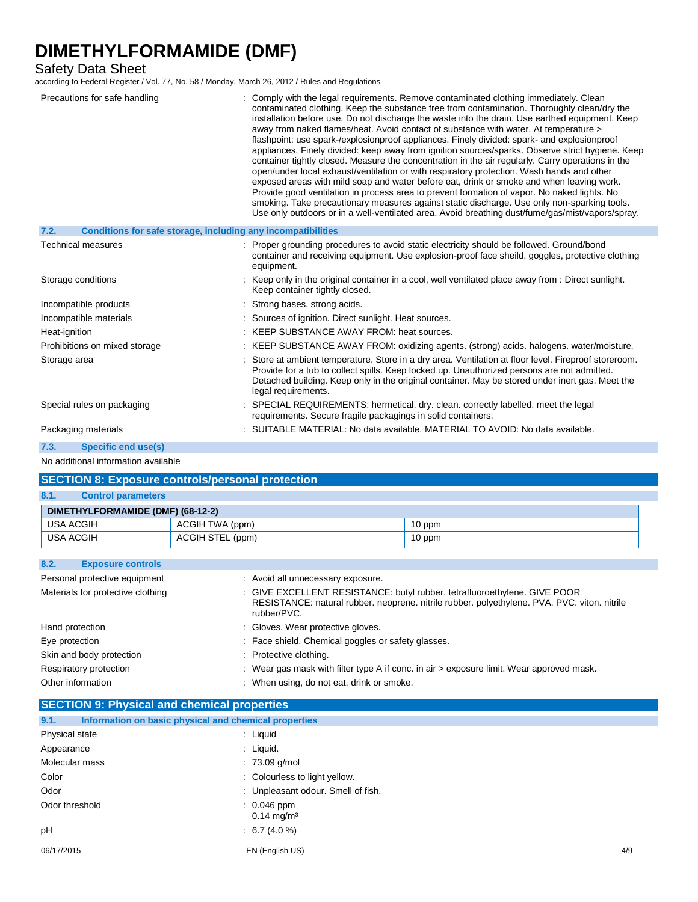Safety Data Sheet

according to Federal Register / Vol. 77, No. 58 / Monday, March 26, 2012 / Rules and Regulations

| Precautions for safe handling                                        | : Comply with the legal requirements. Remove contaminated clothing immediately. Clean<br>contaminated clothing. Keep the substance free from contamination. Thoroughly clean/dry the<br>installation before use. Do not discharge the waste into the drain. Use earthed equipment. Keep<br>away from naked flames/heat. Avoid contact of substance with water. At temperature ><br>flashpoint: use spark-/explosionproof appliances. Finely divided: spark- and explosionproof<br>appliances. Finely divided: keep away from ignition sources/sparks. Observe strict hygiene. Keep<br>container tightly closed. Measure the concentration in the air regularly. Carry operations in the<br>open/under local exhaust/ventilation or with respiratory protection. Wash hands and other<br>exposed areas with mild soap and water before eat, drink or smoke and when leaving work.<br>Provide good ventilation in process area to prevent formation of vapor. No naked lights. No<br>smoking. Take precautionary measures against static discharge. Use only non-sparking tools.<br>Use only outdoors or in a well-ventilated area. Avoid breathing dust/fume/gas/mist/vapors/spray. |
|----------------------------------------------------------------------|------------------------------------------------------------------------------------------------------------------------------------------------------------------------------------------------------------------------------------------------------------------------------------------------------------------------------------------------------------------------------------------------------------------------------------------------------------------------------------------------------------------------------------------------------------------------------------------------------------------------------------------------------------------------------------------------------------------------------------------------------------------------------------------------------------------------------------------------------------------------------------------------------------------------------------------------------------------------------------------------------------------------------------------------------------------------------------------------------------------------------------------------------------------------------------|
| Conditions for safe storage, including any incompatibilities<br>7.2. |                                                                                                                                                                                                                                                                                                                                                                                                                                                                                                                                                                                                                                                                                                                                                                                                                                                                                                                                                                                                                                                                                                                                                                                    |
| <b>Technical measures</b>                                            | : Proper grounding procedures to avoid static electricity should be followed. Ground/bond<br>container and receiving equipment. Use explosion-proof face sheild, goggles, protective clothing<br>equipment.                                                                                                                                                                                                                                                                                                                                                                                                                                                                                                                                                                                                                                                                                                                                                                                                                                                                                                                                                                        |
| Storage conditions                                                   | : Keep only in the original container in a cool, well ventilated place away from : Direct sunlight.<br>Keep container tightly closed.                                                                                                                                                                                                                                                                                                                                                                                                                                                                                                                                                                                                                                                                                                                                                                                                                                                                                                                                                                                                                                              |
| Incompatible products                                                | : Strong bases, strong acids.                                                                                                                                                                                                                                                                                                                                                                                                                                                                                                                                                                                                                                                                                                                                                                                                                                                                                                                                                                                                                                                                                                                                                      |
| Incompatible materials                                               | : Sources of ignition. Direct sunlight. Heat sources.                                                                                                                                                                                                                                                                                                                                                                                                                                                                                                                                                                                                                                                                                                                                                                                                                                                                                                                                                                                                                                                                                                                              |
| Heat-ignition                                                        | : KEEP SUBSTANCE AWAY FROM: heat sources.                                                                                                                                                                                                                                                                                                                                                                                                                                                                                                                                                                                                                                                                                                                                                                                                                                                                                                                                                                                                                                                                                                                                          |
| Prohibitions on mixed storage                                        | : KEEP SUBSTANCE AWAY FROM: oxidizing agents. (strong) acids. halogens. water/moisture.                                                                                                                                                                                                                                                                                                                                                                                                                                                                                                                                                                                                                                                                                                                                                                                                                                                                                                                                                                                                                                                                                            |
| Storage area                                                         | : Store at ambient temperature. Store in a dry area. Ventilation at floor level. Fireproof storeroom.<br>Provide for a tub to collect spills. Keep locked up. Unauthorized persons are not admitted.<br>Detached building. Keep only in the original container. May be stored under inert gas. Meet the<br>legal requirements.                                                                                                                                                                                                                                                                                                                                                                                                                                                                                                                                                                                                                                                                                                                                                                                                                                                     |
| Special rules on packaging                                           | SPECIAL REQUIREMENTS: hermetical. dry. clean. correctly labelled. meet the legal<br>requirements. Secure fragile packagings in solid containers.                                                                                                                                                                                                                                                                                                                                                                                                                                                                                                                                                                                                                                                                                                                                                                                                                                                                                                                                                                                                                                   |
| Packaging materials                                                  | SUITABLE MATERIAL: No data available. MATERIAL TO AVOID: No data available.                                                                                                                                                                                                                                                                                                                                                                                                                                                                                                                                                                                                                                                                                                                                                                                                                                                                                                                                                                                                                                                                                                        |
| 7.3.<br>Specific end use(s)                                          |                                                                                                                                                                                                                                                                                                                                                                                                                                                                                                                                                                                                                                                                                                                                                                                                                                                                                                                                                                                                                                                                                                                                                                                    |

No additional information available

| <b>SECTION 8: Exposure controls/personal protection</b> |                  |        |  |
|---------------------------------------------------------|------------------|--------|--|
| 8.1.<br><b>Control parameters</b>                       |                  |        |  |
| DIMETHYLFORMAMIDE (DMF) (68-12-2)                       |                  |        |  |
| USA ACGIH                                               | ACGIH TWA (ppm)  | 10 ppm |  |
| <b>USA ACGIH</b>                                        | ACGIH STEL (ppm) | 10 ppm |  |

| 8.2.<br><b>Exposure controls</b>  |                                                                                                                                                                                          |
|-----------------------------------|------------------------------------------------------------------------------------------------------------------------------------------------------------------------------------------|
| Personal protective equipment     | : Avoid all unnecessary exposure.                                                                                                                                                        |
| Materials for protective clothing | : GIVE EXCELLENT RESISTANCE: butyl rubber. tetrafluoroethylene. GIVE POOR<br>RESISTANCE: natural rubber. neoprene. nitrile rubber. polyethylene. PVA. PVC. viton. nitrile<br>rubber/PVC. |
| Hand protection                   | : Gloves. Wear protective gloves.                                                                                                                                                        |
| Eye protection                    | : Face shield. Chemical goggles or safety glasses.                                                                                                                                       |
| Skin and body protection          | : Protective clothing.                                                                                                                                                                   |
| Respiratory protection            | : Wear gas mask with filter type A if conc. in air > exposure limit. Wear approved mask.                                                                                                 |
| Other information                 | : When using, do not eat, drink or smoke.                                                                                                                                                |

| <b>SECTION 9: Physical and chemical properties</b> |                                                       |     |
|----------------------------------------------------|-------------------------------------------------------|-----|
| 9.1.                                               | Information on basic physical and chemical properties |     |
| Physical state                                     | : Liquid                                              |     |
| Appearance                                         | $:$ Liquid.                                           |     |
| Molecular mass                                     | $: 73.09$ g/mol                                       |     |
| Color                                              | : Colourless to light yellow.                         |     |
| Odor                                               | : Unpleasant odour. Smell of fish.                    |     |
| Odor threshold                                     | $: 0.046$ ppm<br>$0.14 \text{ mg/m}^3$                |     |
| pH                                                 | $\therefore$ 6.7 (4.0 %)                              |     |
| 06/17/2015                                         | EN (English US)                                       | 4/9 |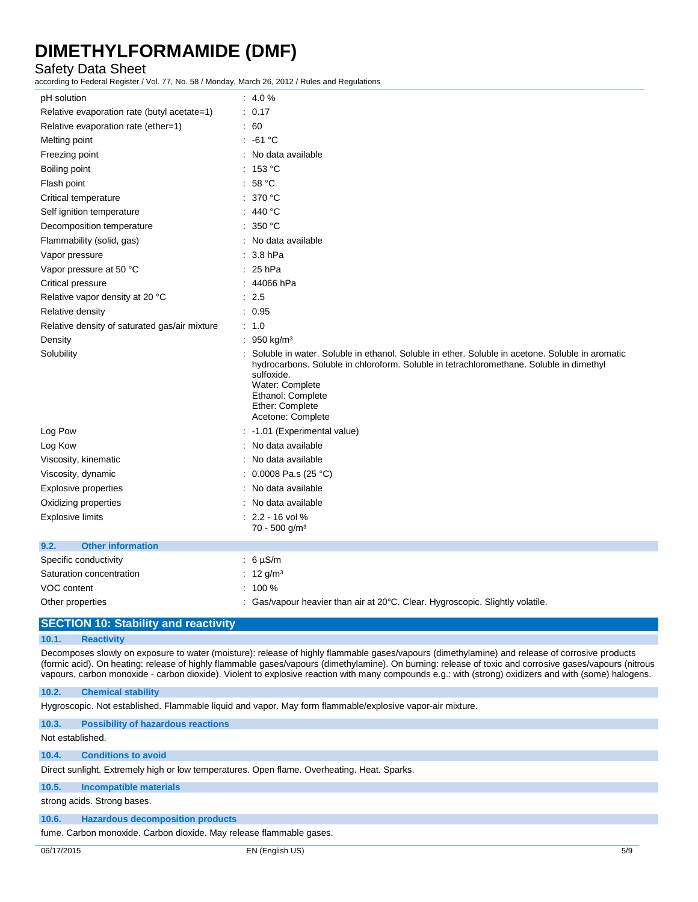## Safety Data Sheet

according to Federal Register / Vol. 77, No. 58 / Monday, March 26, 2012 / Rules and Regulations

| pH solution                                   | $: 4.0 \%$                                                                                                                                                                                                                                                                               |
|-----------------------------------------------|------------------------------------------------------------------------------------------------------------------------------------------------------------------------------------------------------------------------------------------------------------------------------------------|
| Relative evaporation rate (butyl acetate=1)   | : 0.17                                                                                                                                                                                                                                                                                   |
| Relative evaporation rate (ether=1)           | : 60                                                                                                                                                                                                                                                                                     |
| Melting point                                 | $: -61 °C$                                                                                                                                                                                                                                                                               |
| Freezing point                                | : No data available                                                                                                                                                                                                                                                                      |
| Boiling point                                 | : 153 °C                                                                                                                                                                                                                                                                                 |
| Flash point                                   | : 58 °C                                                                                                                                                                                                                                                                                  |
| Critical temperature                          | : 370 °C                                                                                                                                                                                                                                                                                 |
| Self ignition temperature                     | : 440 °C                                                                                                                                                                                                                                                                                 |
| Decomposition temperature                     | : 350 °C                                                                                                                                                                                                                                                                                 |
| Flammability (solid, gas)                     | : No data available                                                                                                                                                                                                                                                                      |
| Vapor pressure                                | $: 3.8$ hPa                                                                                                                                                                                                                                                                              |
| Vapor pressure at 50 °C                       | $: 25$ hPa                                                                                                                                                                                                                                                                               |
| Critical pressure                             | : 44066 hPa                                                                                                                                                                                                                                                                              |
| Relative vapor density at 20 °C               | : 2.5                                                                                                                                                                                                                                                                                    |
| Relative density                              | : 0.95                                                                                                                                                                                                                                                                                   |
| Relative density of saturated gas/air mixture | : 1.0                                                                                                                                                                                                                                                                                    |
| Density                                       | : 950 kg/m <sup>3</sup>                                                                                                                                                                                                                                                                  |
| Solubility                                    | Soluble in water. Soluble in ethanol. Soluble in ether. Soluble in acetone. Soluble in aromatic<br>hydrocarbons. Soluble in chloroform. Soluble in tetrachloromethane. Soluble in dimethyl<br>sulfoxide.<br>Water: Complete<br>Ethanol: Complete<br>Ether: Complete<br>Acetone: Complete |
| Log Pow                                       | : -1.01 (Experimental value)                                                                                                                                                                                                                                                             |
| Log Kow                                       | : No data available                                                                                                                                                                                                                                                                      |
| Viscosity, kinematic                          | : No data available                                                                                                                                                                                                                                                                      |
| Viscosity, dynamic                            | : $0.0008$ Pa.s (25 °C)                                                                                                                                                                                                                                                                  |
| <b>Explosive properties</b>                   | : No data available                                                                                                                                                                                                                                                                      |
| Oxidizing properties                          | : No data available                                                                                                                                                                                                                                                                      |
| Explosive limits                              | $: 2.2 - 16$ vol %                                                                                                                                                                                                                                                                       |
|                                               | 70 - 500 g/m <sup>3</sup>                                                                                                                                                                                                                                                                |
| 9.2.<br><b>Other information</b>              |                                                                                                                                                                                                                                                                                          |
| Specific conductivity                         | $: 6 \mu S/m$                                                                                                                                                                                                                                                                            |
| Saturation concentration                      | : $12 \frac{g}{m^3}$                                                                                                                                                                                                                                                                     |
| VOC content                                   | $: 100 \%$                                                                                                                                                                                                                                                                               |
| Other properties                              | : Gas/vapour heavier than air at 20°C. Clear. Hygroscopic. Slightly volatile.                                                                                                                                                                                                            |

## **SECTION 10: Stability and reactivity**

### **10.1. Reactivity**

Decomposes slowly on exposure to water (moisture): release of highly flammable gases/vapours (dimethylamine) and release of corrosive products (formic acid). On heating: release of highly flammable gases/vapours (dimethylamine). On burning: release of toxic and corrosive gases/vapours (nitrous vapours, carbon monoxide - carbon dioxide). Violent to explosive reaction with many compounds e.g.: with (strong) oxidizers and with (some) halogens.

#### **10.2. Chemical stability**

Hygroscopic. Not established. Flammable liquid and vapor. May form flammable/explosive vapor-air mixture.

#### **10.3. Possibility of hazardous reactions**

Not established.

#### **10.4. Conditions to avoid**

Direct sunlight. Extremely high or low temperatures. Open flame. Overheating. Heat. Sparks.

## **10.5. Incompatible materials**

strong acids. Strong bases.

### **10.6. Hazardous decomposition products**

fume. Carbon monoxide. Carbon dioxide. May release flammable gases.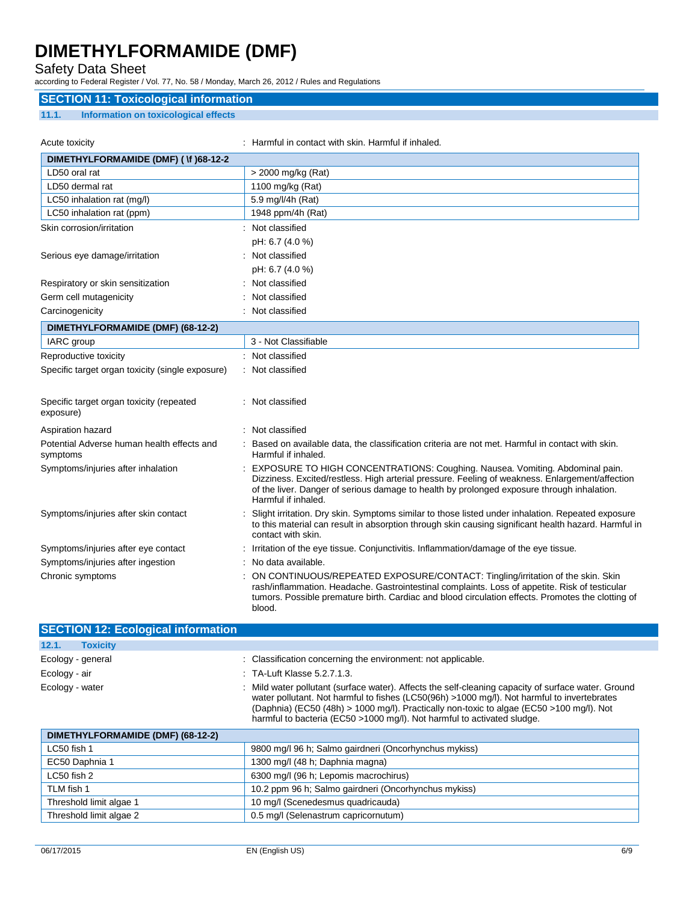## Safety Data Sheet

according to Federal Register / Vol. 77, No. 58 / Monday, March 26, 2012 / Rules and Regulations

### **SECTION 11: Toxicological information**

### **11.1. Information on toxicological effects**

| Acute toxicity                                         | : Harmful in contact with skin. Harmful if inhaled.                                                                                                                                                                                                                                                  |
|--------------------------------------------------------|------------------------------------------------------------------------------------------------------------------------------------------------------------------------------------------------------------------------------------------------------------------------------------------------------|
| DIMETHYLFORMAMIDE (DMF) ( \f )68-12-2                  |                                                                                                                                                                                                                                                                                                      |
| LD50 oral rat                                          | > 2000 mg/kg (Rat)                                                                                                                                                                                                                                                                                   |
| LD50 dermal rat                                        | 1100 mg/kg (Rat)                                                                                                                                                                                                                                                                                     |
| LC50 inhalation rat (mg/l)                             | 5.9 mg/l/4h (Rat)                                                                                                                                                                                                                                                                                    |
| LC50 inhalation rat (ppm)                              | 1948 ppm/4h (Rat)                                                                                                                                                                                                                                                                                    |
| Skin corrosion/irritation                              | : Not classified                                                                                                                                                                                                                                                                                     |
|                                                        | pH: 6.7 (4.0 %)                                                                                                                                                                                                                                                                                      |
| Serious eye damage/irritation                          | : Not classified                                                                                                                                                                                                                                                                                     |
|                                                        | pH: 6.7 (4.0 %)                                                                                                                                                                                                                                                                                      |
| Respiratory or skin sensitization                      | Not classified                                                                                                                                                                                                                                                                                       |
| Germ cell mutagenicity                                 | Not classified                                                                                                                                                                                                                                                                                       |
| Carcinogenicity                                        | Not classified                                                                                                                                                                                                                                                                                       |
| DIMETHYLFORMAMIDE (DMF) (68-12-2)                      |                                                                                                                                                                                                                                                                                                      |
| IARC group                                             | 3 - Not Classifiable                                                                                                                                                                                                                                                                                 |
| Reproductive toxicity                                  | : Not classified                                                                                                                                                                                                                                                                                     |
| Specific target organ toxicity (single exposure)       | : Not classified                                                                                                                                                                                                                                                                                     |
| Specific target organ toxicity (repeated<br>exposure)  | : Not classified                                                                                                                                                                                                                                                                                     |
| Aspiration hazard                                      | Not classified                                                                                                                                                                                                                                                                                       |
| Potential Adverse human health effects and<br>symptoms | Based on available data, the classification criteria are not met. Harmful in contact with skin.<br>Harmful if inhaled.                                                                                                                                                                               |
| Symptoms/injuries after inhalation                     | EXPOSURE TO HIGH CONCENTRATIONS: Coughing. Nausea. Vomiting. Abdominal pain.<br>Dizziness. Excited/restless. High arterial pressure. Feeling of weakness. Enlargement/affection<br>of the liver. Danger of serious damage to health by prolonged exposure through inhalation.<br>Harmful if inhaled. |
| Symptoms/injuries after skin contact                   | Slight irritation. Dry skin. Symptoms similar to those listed under inhalation. Repeated exposure<br>to this material can result in absorption through skin causing significant health hazard. Harmful in<br>contact with skin.                                                                      |
| Symptoms/injuries after eye contact                    | Irritation of the eye tissue. Conjunctivitis. Inflammation/damage of the eye tissue.                                                                                                                                                                                                                 |
| Symptoms/injuries after ingestion                      | No data available.                                                                                                                                                                                                                                                                                   |
| Chronic symptoms                                       | ON CONTINUOUS/REPEATED EXPOSURE/CONTACT: Tingling/irritation of the skin. Skin<br>rash/inflammation. Headache. Gastrointestinal complaints. Loss of appetite. Risk of testicular<br>tumors. Possible premature birth. Cardiac and blood circulation effects. Promotes the clotting of                |

| <b>SECTION 12: Ecological information</b> |                                                                                                                                                                                                                                                                                                                                                                           |
|-------------------------------------------|---------------------------------------------------------------------------------------------------------------------------------------------------------------------------------------------------------------------------------------------------------------------------------------------------------------------------------------------------------------------------|
| 12.1.<br><b>Toxicity</b>                  |                                                                                                                                                                                                                                                                                                                                                                           |
| Ecology - general                         | : Classification concerning the environment: not applicable.                                                                                                                                                                                                                                                                                                              |
| Ecology - air                             | $\therefore$ TA-Luft Klasse 5.2.7.1.3.                                                                                                                                                                                                                                                                                                                                    |
| Ecology - water                           | : Mild water pollutant (surface water). Affects the self-cleaning capacity of surface water. Ground<br>water pollutant. Not harmful to fishes (LC50(96h) >1000 mg/l). Not harmful to invertebrates<br>(Daphnia) (EC50 (48h) > 1000 mg/l). Practically non-toxic to algae (EC50 >100 mg/l). Not<br>harmful to bacteria (EC50 >1000 mg/l). Not harmful to activated sludge. |

| DIMETHYLFORMAMIDE (DMF) (68-12-2) |                                                       |
|-----------------------------------|-------------------------------------------------------|
| LC50 fish 1                       | 9800 mg/l 96 h; Salmo gairdneri (Oncorhynchus mykiss) |
| EC50 Daphnia 1                    | 1300 mg/l (48 h; Daphnia magna)                       |
| LC50 fish 2                       | 6300 mg/l (96 h; Lepomis macrochirus)                 |
| TLM fish 1                        | 10.2 ppm 96 h; Salmo gairdneri (Oncorhynchus mykiss)  |
| Threshold limit algae 1           | 10 mg/l (Scenedesmus quadricauda)                     |
| Threshold limit algae 2           | 0.5 mg/l (Selenastrum capricornutum)                  |

blood.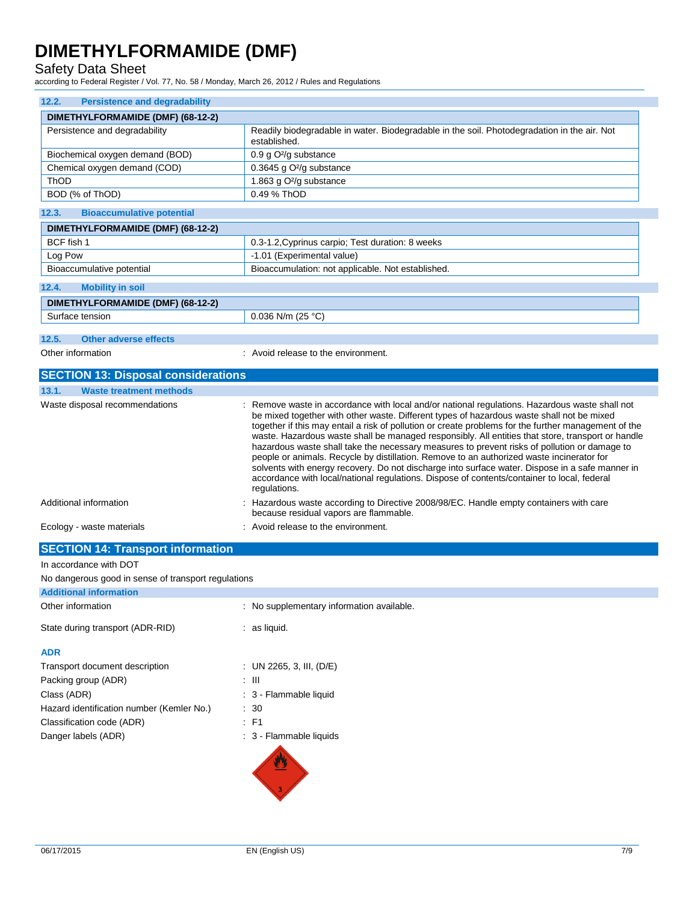## Safety Data Sheet

according to Federal Register / Vol. 77, No. 58 / Monday, March 26, 2012 / Rules and Regulations

| 12.2.<br><b>Persistence and degradability</b>       |                                                                                                                                                                                                                                                                                                                                                                                                                                                                                                                                                                                                                                                                                                                                                                                                                       |
|-----------------------------------------------------|-----------------------------------------------------------------------------------------------------------------------------------------------------------------------------------------------------------------------------------------------------------------------------------------------------------------------------------------------------------------------------------------------------------------------------------------------------------------------------------------------------------------------------------------------------------------------------------------------------------------------------------------------------------------------------------------------------------------------------------------------------------------------------------------------------------------------|
| DIMETHYLFORMAMIDE (DMF) (68-12-2)                   |                                                                                                                                                                                                                                                                                                                                                                                                                                                                                                                                                                                                                                                                                                                                                                                                                       |
| Persistence and degradability                       | Readily biodegradable in water. Biodegradable in the soil. Photodegradation in the air. Not<br>established.                                                                                                                                                                                                                                                                                                                                                                                                                                                                                                                                                                                                                                                                                                           |
| Biochemical oxygen demand (BOD)                     | $0.9$ g O <sup>2</sup> /g substance                                                                                                                                                                                                                                                                                                                                                                                                                                                                                                                                                                                                                                                                                                                                                                                   |
| Chemical oxygen demand (COD)                        | 0.3645 g $O^2/g$ substance                                                                                                                                                                                                                                                                                                                                                                                                                                                                                                                                                                                                                                                                                                                                                                                            |
| ThOD                                                | 1.863 g O <sup>2</sup> /g substance                                                                                                                                                                                                                                                                                                                                                                                                                                                                                                                                                                                                                                                                                                                                                                                   |
| BOD (% of ThOD)                                     | 0.49 % ThOD                                                                                                                                                                                                                                                                                                                                                                                                                                                                                                                                                                                                                                                                                                                                                                                                           |
| <b>Bioaccumulative potential</b><br>12.3.           |                                                                                                                                                                                                                                                                                                                                                                                                                                                                                                                                                                                                                                                                                                                                                                                                                       |
| DIMETHYLFORMAMIDE (DMF) (68-12-2)                   |                                                                                                                                                                                                                                                                                                                                                                                                                                                                                                                                                                                                                                                                                                                                                                                                                       |
| BCF fish 1                                          | 0.3-1.2, Cyprinus carpio; Test duration: 8 weeks                                                                                                                                                                                                                                                                                                                                                                                                                                                                                                                                                                                                                                                                                                                                                                      |
| Log Pow                                             | -1.01 (Experimental value)                                                                                                                                                                                                                                                                                                                                                                                                                                                                                                                                                                                                                                                                                                                                                                                            |
| Bioaccumulative potential                           | Bioaccumulation: not applicable. Not established.                                                                                                                                                                                                                                                                                                                                                                                                                                                                                                                                                                                                                                                                                                                                                                     |
| 12.4.<br><b>Mobility in soil</b>                    |                                                                                                                                                                                                                                                                                                                                                                                                                                                                                                                                                                                                                                                                                                                                                                                                                       |
| DIMETHYLFORMAMIDE (DMF) (68-12-2)                   |                                                                                                                                                                                                                                                                                                                                                                                                                                                                                                                                                                                                                                                                                                                                                                                                                       |
| Surface tension                                     | 0.036 N/m (25 °C)                                                                                                                                                                                                                                                                                                                                                                                                                                                                                                                                                                                                                                                                                                                                                                                                     |
|                                                     |                                                                                                                                                                                                                                                                                                                                                                                                                                                                                                                                                                                                                                                                                                                                                                                                                       |
| 12.5.<br><b>Other adverse effects</b>               |                                                                                                                                                                                                                                                                                                                                                                                                                                                                                                                                                                                                                                                                                                                                                                                                                       |
| Other information                                   | : Avoid release to the environment.                                                                                                                                                                                                                                                                                                                                                                                                                                                                                                                                                                                                                                                                                                                                                                                   |
| <b>SECTION 13: Disposal considerations</b>          |                                                                                                                                                                                                                                                                                                                                                                                                                                                                                                                                                                                                                                                                                                                                                                                                                       |
| 13.1.<br><b>Waste treatment methods</b>             |                                                                                                                                                                                                                                                                                                                                                                                                                                                                                                                                                                                                                                                                                                                                                                                                                       |
| Waste disposal recommendations                      | Remove waste in accordance with local and/or national regulations. Hazardous waste shall not<br>be mixed together with other waste. Different types of hazardous waste shall not be mixed<br>together if this may entail a risk of pollution or create problems for the further management of the<br>waste. Hazardous waste shall be managed responsibly. All entities that store, transport or handle<br>hazardous waste shall take the necessary measures to prevent risks of pollution or damage to<br>people or animals. Recycle by distillation. Remove to an authorized waste incinerator for<br>solvents with energy recovery. Do not discharge into surface water. Dispose in a safe manner in<br>accordance with local/national regulations. Dispose of contents/container to local, federal<br>regulations. |
| Additional information                              | : Hazardous waste according to Directive 2008/98/EC. Handle empty containers with care<br>because residual vapors are flammable.                                                                                                                                                                                                                                                                                                                                                                                                                                                                                                                                                                                                                                                                                      |
| Ecology - waste materials                           | : Avoid release to the environment.                                                                                                                                                                                                                                                                                                                                                                                                                                                                                                                                                                                                                                                                                                                                                                                   |
| <b>SECTION 14: Transport information</b>            |                                                                                                                                                                                                                                                                                                                                                                                                                                                                                                                                                                                                                                                                                                                                                                                                                       |
| In accordance with DOT                              |                                                                                                                                                                                                                                                                                                                                                                                                                                                                                                                                                                                                                                                                                                                                                                                                                       |
| No dangerous good in sense of transport regulations |                                                                                                                                                                                                                                                                                                                                                                                                                                                                                                                                                                                                                                                                                                                                                                                                                       |
| <b>Additional information</b>                       |                                                                                                                                                                                                                                                                                                                                                                                                                                                                                                                                                                                                                                                                                                                                                                                                                       |
| Other information                                   | : No supplementary information available.                                                                                                                                                                                                                                                                                                                                                                                                                                                                                                                                                                                                                                                                                                                                                                             |
| State during transport (ADR-RID)                    | $:$ as liquid.                                                                                                                                                                                                                                                                                                                                                                                                                                                                                                                                                                                                                                                                                                                                                                                                        |
| ADR                                                 |                                                                                                                                                                                                                                                                                                                                                                                                                                                                                                                                                                                                                                                                                                                                                                                                                       |
| Transport document description                      | : UN 2265, 3, III, (D/E)                                                                                                                                                                                                                                                                                                                                                                                                                                                                                                                                                                                                                                                                                                                                                                                              |
| Booking aroun (ADD)                                 | $-111$                                                                                                                                                                                                                                                                                                                                                                                                                                                                                                                                                                                                                                                                                                                                                                                                                |

| Packing group (ADR)                       | : III       |
|-------------------------------------------|-------------|
| Class (ADR)                               | $\cdot$ 3 – |
| Hazard identification number (Kemler No.) | $\cdot$ 30  |
| Classification code (ADR)                 | : F1        |
| Danger labels (ADR)                       | $\cdot$ 3 - |



: 3 - Flammable liquid

 $: 30$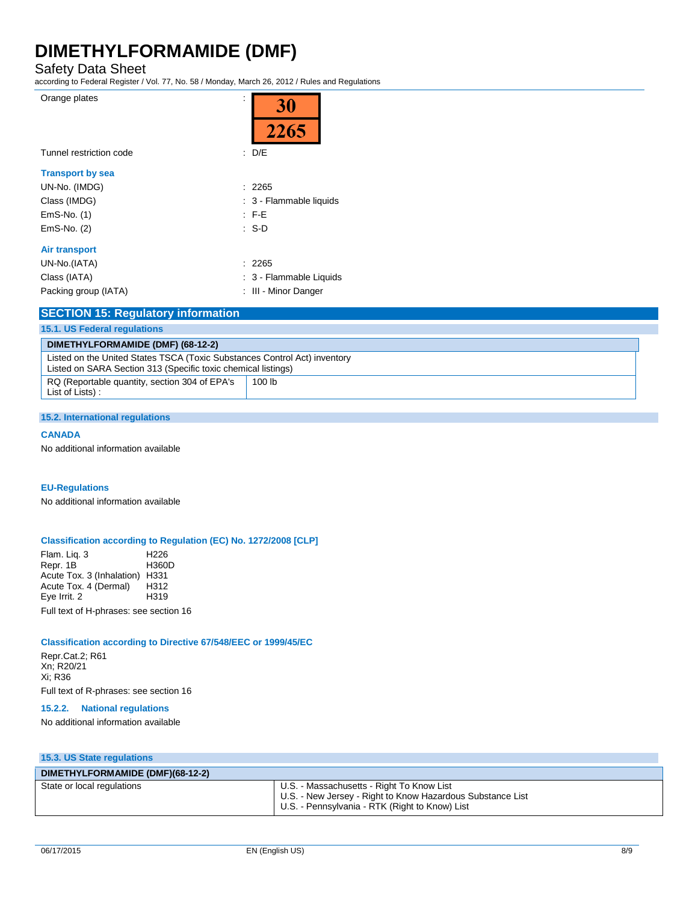Safety Data Sheet

according to Federal Register / Vol. 77, No. 58 / Monday, March 26, 2012 / Rules and Regulations

| Orange plates           | 30                      |
|-------------------------|-------------------------|
| Tunnel restriction code | 2265<br>D/E<br>t.       |
| <b>Transport by sea</b> |                         |
| UN-No. (IMDG)           | : 2265                  |
| Class (IMDG)            | : 3 - Flammable liquids |
| EmS-No. (1)             | $\pm$ F-E               |
| EmS-No. (2)             | : S-D                   |
| <b>Air transport</b>    |                         |
| UN-No.(IATA)            | : 2265                  |
| Class (IATA)            | : 3 - Flammable Liquids |
| Packing group (IATA)    | : III - Minor Danger    |
|                         |                         |

| <b>SECTION 15: Regulatory information</b>                                                                                                  |  |
|--------------------------------------------------------------------------------------------------------------------------------------------|--|
|                                                                                                                                            |  |
|                                                                                                                                            |  |
| Listed on the United States TSCA (Toxic Substances Control Act) inventory<br>Listed on SARA Section 313 (Specific toxic chemical listings) |  |
| 100 lb                                                                                                                                     |  |
|                                                                                                                                            |  |

#### **15.2. International regulations**

#### **CANADA**

No additional information available

### **EU-Regulations**

No additional information available

#### **Classification according to Regulation (EC) No. 1272/2008 [CLP]**

Flam. Liq. 3 H226 Repr. 1B Acute Tox. 3 (Inhalation) H331 Acute Tox. 4 (Dermal) H312<br>Eye Irrit. 2 H319 Eye Irrit. 2

Full text of H-phrases: see section 16

### **Classification according to Directive 67/548/EEC or 1999/45/EC**

Repr.Cat.2; R61 Xn; R20/21 Xi; R36

Full text of R-phrases: see section 16

## **15.2.2. National regulations**

No additional information available

**15.3. US State regulations**

| DIMETHYLFORMAMIDE (DMF)(68-12-2) |                                                                                                                                                           |
|----------------------------------|-----------------------------------------------------------------------------------------------------------------------------------------------------------|
| State or local regulations       | U.S. - Massachusetts - Right To Know List<br>U.S. - New Jersey - Right to Know Hazardous Substance List<br>U.S. - Pennsylvania - RTK (Right to Know) List |